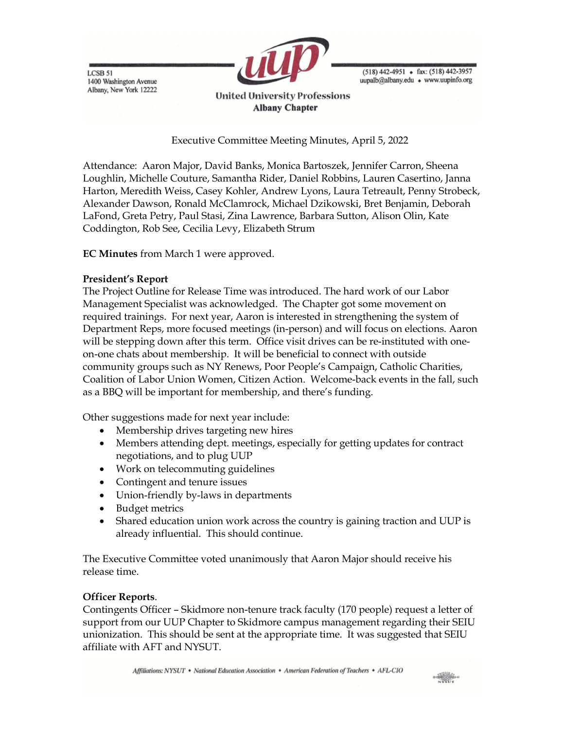LCSB 51 1400 Washington Avenue Albany, New York 12222



 $(518)$  442-4951 • fax:  $(518)$  442-3957 uupalb@albany.edu • www.uupinfo.org

**United University Professions Albany Chapter** 

Executive Committee Meeting Minutes, April 5, 2022

Attendance: Aaron Major, David Banks, Monica Bartoszek, Jennifer Carron, Sheena Loughlin, Michelle Couture, Samantha Rider, Daniel Robbins, Lauren Casertino, Janna Harton, Meredith Weiss, Casey Kohler, Andrew Lyons, Laura Tetreault, Penny Strobeck, Alexander Dawson, Ronald McClamrock, Michael Dzikowski, Bret Benjamin, Deborah LaFond, Greta Petry, Paul Stasi, Zina Lawrence, Barbara Sutton, Alison Olin, Kate Coddington, Rob See, Cecilia Levy, Elizabeth Strum

EC Minutes from March 1 were approved.

## President's Report

The Project Outline for Release Time was introduced. The hard work of our Labor Management Specialist was acknowledged. The Chapter got some movement on required trainings. For next year, Aaron is interested in strengthening the system of Department Reps, more focused meetings (in-person) and will focus on elections. Aaron will be stepping down after this term. Office visit drives can be re-instituted with oneon-one chats about membership. It will be beneficial to connect with outside community groups such as NY Renews, Poor People's Campaign, Catholic Charities, Coalition of Labor Union Women, Citizen Action. Welcome-back events in the fall, such as a BBQ will be important for membership, and there's funding.

Other suggestions made for next year include:

- Membership drives targeting new hires
- Members attending dept. meetings, especially for getting updates for contract negotiations, and to plug UUP
- Work on telecommuting guidelines
- Contingent and tenure issues
- Union-friendly by-laws in departments
- Budget metrics
- Shared education union work across the country is gaining traction and UUP is already influential. This should continue.

The Executive Committee voted unanimously that Aaron Major should receive his release time.

## Officer Reports.

Contingents Officer – Skidmore non-tenure track faculty (170 people) request a letter of support from our UUP Chapter to Skidmore campus management regarding their SEIU unionization. This should be sent at the appropriate time. It was suggested that SEIU affiliate with AFT and NYSUT.